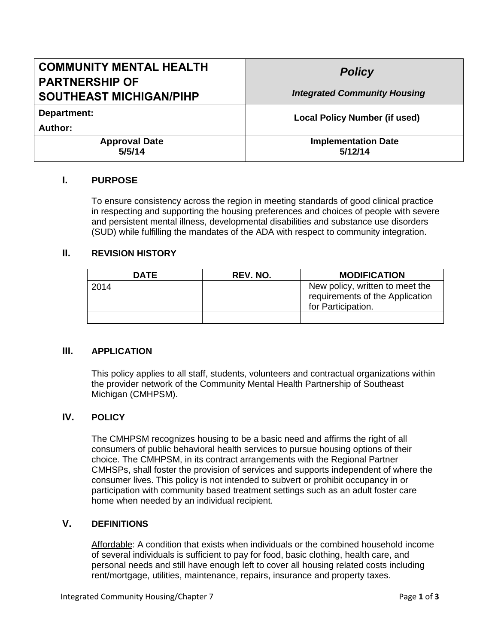| <b>COMMUNITY MENTAL HEALTH</b><br><b>PARTNERSHIP OF</b> | <b>Policy</b>                         |  |
|---------------------------------------------------------|---------------------------------------|--|
| <b>SOUTHEAST MICHIGAN/PIHP</b>                          | <b>Integrated Community Housing</b>   |  |
| Department:                                             | <b>Local Policy Number (if used)</b>  |  |
| Author:                                                 |                                       |  |
| <b>Approval Date</b><br>5/5/14                          | <b>Implementation Date</b><br>5/12/14 |  |

## **I. PURPOSE**

To ensure consistency across the region in meeting standards of good clinical practice in respecting and supporting the housing preferences and choices of people with severe and persistent mental illness, developmental disabilities and substance use disorders (SUD) while fulfilling the mandates of the ADA with respect to community integration.

#### **II. REVISION HISTORY**

| <b>DATE</b> | REV. NO. | <b>MODIFICATION</b>                                                                      |
|-------------|----------|------------------------------------------------------------------------------------------|
| 2014        |          | New policy, written to meet the<br>requirements of the Application<br>for Participation. |
|             |          |                                                                                          |

## **III. APPLICATION**

This policy applies to all staff, students, volunteers and contractual organizations within the provider network of the Community Mental Health Partnership of Southeast Michigan (CMHPSM).

# **IV. POLICY**

The CMHPSM recognizes housing to be a basic need and affirms the right of all consumers of public behavioral health services to pursue housing options of their choice. The CMHPSM, in its contract arrangements with the Regional Partner CMHSPs, shall foster the provision of services and supports independent of where the consumer lives. This policy is not intended to subvert or prohibit occupancy in or participation with community based treatment settings such as an adult foster care home when needed by an individual recipient.

## **V. DEFINITIONS**

Affordable: A condition that exists when individuals or the combined household income of several individuals is sufficient to pay for food, basic clothing, health care, and personal needs and still have enough left to cover all housing related costs including rent/mortgage, utilities, maintenance, repairs, insurance and property taxes.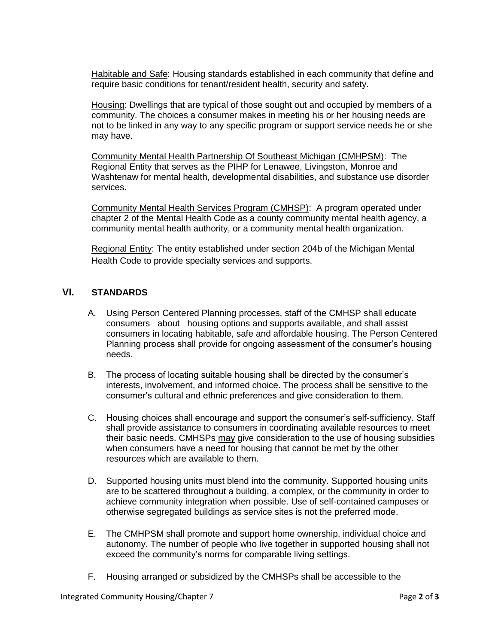Habitable and Safe: Housing standards established in each community that define and require basic conditions for tenant/resident health, security and safety.

Housing: Dwellings that are typical of those sought out and occupied by members of a community. The choices a consumer makes in meeting his or her housing needs are not to be linked in any way to any specific program or support service needs he or she may have.

Community Mental Health Partnership Of Southeast Michigan (CMHPSM): The Regional Entity that serves as the PIHP for Lenawee, Livingston, Monroe and Washtenaw for mental health, developmental disabilities, and substance use disorder services.

Community Mental Health Services Program (CMHSP): A program operated under chapter 2 of the Mental Health Code as a county community mental health agency, a community mental health authority, or a community mental health organization.

Regional Entity: The entity established under section 204b of the Michigan Mental Health Code to provide specialty services and supports.

# **VI. STANDARDS**

- A. Using Person Centered Planning processes, staff of the CMHSP shall educate consumers about housing options and supports available, and shall assist consumers in locating habitable, safe and affordable housing. The Person Centered Planning process shall provide for ongoing assessment of the consumer's housing needs.
- B. The process of locating suitable housing shall be directed by the consumer's interests, involvement, and informed choice. The process shall be sensitive to the consumer's cultural and ethnic preferences and give consideration to them.
- C. Housing choices shall encourage and support the consumer's self-sufficiency. Staff shall provide assistance to consumers in coordinating available resources to meet their basic needs. CMHSPs may give consideration to the use of housing subsidies when consumers have a need for housing that cannot be met by the other resources which are available to them.
- D. Supported housing units must blend into the community. Supported housing units are to be scattered throughout a building, a complex, or the community in order to achieve community integration when possible. Use of self-contained campuses or otherwise segregated buildings as service sites is not the preferred mode.
- E. The CMHPSM shall promote and support home ownership, individual choice and autonomy. The number of people who live together in supported housing shall not exceed the community's norms for comparable living settings.
- F. Housing arranged or subsidized by the CMHSPs shall be accessible to the